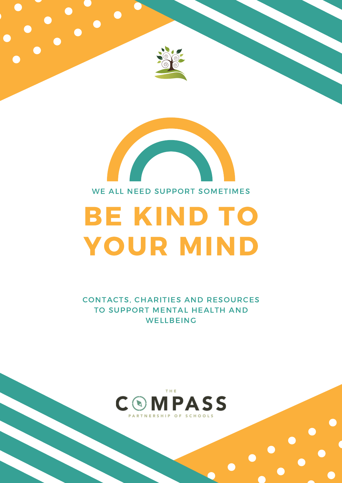# BE KIND TO YOUR MIND

### WE ALL NEED SUPPORT SOMETIMES





# CONTACTS, CHARITIES AND RESOURCES TO SUPPORT MENTAL HEALTH AND WELLBEING

THE COMPASS PARTNERSHIP OF SCHOOLS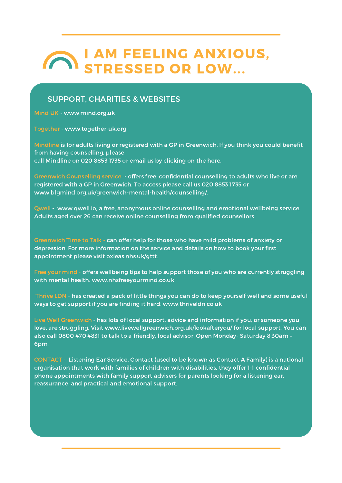# I AM FEELING ANXIOUS, STRESSED OR LOW...

Mind UK - www.mind.org.uk

Together - www.together-uk.org

Mindline is for adults living or registered with a GP in Greenwich. If you think you could benefit from having counselling, please call Mindline on 020 8853 1735 or email us by clicking on the here.

Greenwich Counselling service - offers free, confidential counselling to adults who live or are registered with a GP in Greenwich. To access please call us 020 8853 1735 or www.blgmind.org.uk/greenwich-mental-health/counselling/.

Qwell - www.qwell.io, a free, anonymous online counselling and emotional wellbeing service. Adults aged over 26 can receive online counselling from qualified counsellors.

Greenwich Time to Talk - can offer help for those who have mild problems of anxiety or depression. For more information on the service and details on how to book your first appointment please visit oxleas.nhs.uk/gttt.

Free your mind - offers wellbeing tips to help support those of you who are currently struggling with mental health. www.nhsfreeyourmind.co.uk

Thrive LDN - has created a pack of little things you can do to keep yourself well and some useful ways to get support if you are finding it hard: www.thriveldn.co.uk

Live Well Greenwich - has lots of local support, advice and information if you, or someone you love, are struggling. Visit www.livewellgreenwich.org.uk/lookafteryou/ for local support. You can also call 0800 470 4831 to talk to a friendly, local advisor. Open Monday- Saturday 8.30am – 6pm.

CONTACT - Listening Ear Service. Contact (used to be known as Contact A Family) is a national organisation that work with families of children with disabilities, they offer 1-1 confidential phone appointments with family support advisers for parents looking for a listening ear, reassurance, and practical and emotional support.

#### SUPPORT, CHARITIES & WEBSITES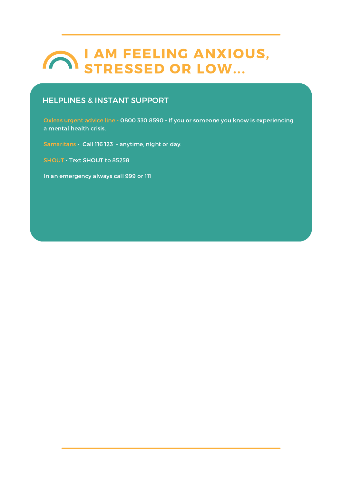# I AM FEELING ANXIOUS, STRESSED OR LOW...

### HELPLINES & INSTANT SUPPORT

Oxleas urgent advice line - 0800 330 8590 - If you or someone you know is experiencing a mental health crisis.

Samaritans - Call 116 123 - anytime, night or day.

SHOUT - Text SHOUT to 85258

In an emergency always call 999 or 111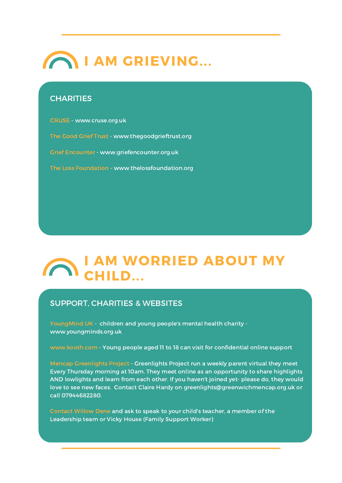

#### **CHARITIES**

# I AM WORRIED ABOUT MY CHILD...

### SUPPORT, CHARITIES & WEBSITES

YoungMind UK - children and young people's mental health charity www.youngminds.org.uk

www.kooth.com - Young people aged 11 to 18 can visit for confidential online support

Mencap Greenlights Project - Greenlights Project run a weekly parent virtual they meet Every Thursday morning at 10am. They meet online as an opportunity to share highlights AND lowlights and learn from each other. If you haven't joined yet- please do, they would love to see new faces. Contact Claire Hardy on greenlights@greenwichmencap.org.uk or call 07944682280.

Contact Willow Dene and ask to speak to your child's teacher, a member of the Leadership team or Vicky House (Family Support Worker)

CRUSE - www.cruse.org.uk

The Good Grief Trust - www.thegoodgrieftrust.org

Grief Encounter - www.griefencounter.org.uk

The Loss Foundation - www.thelossfoundation.org